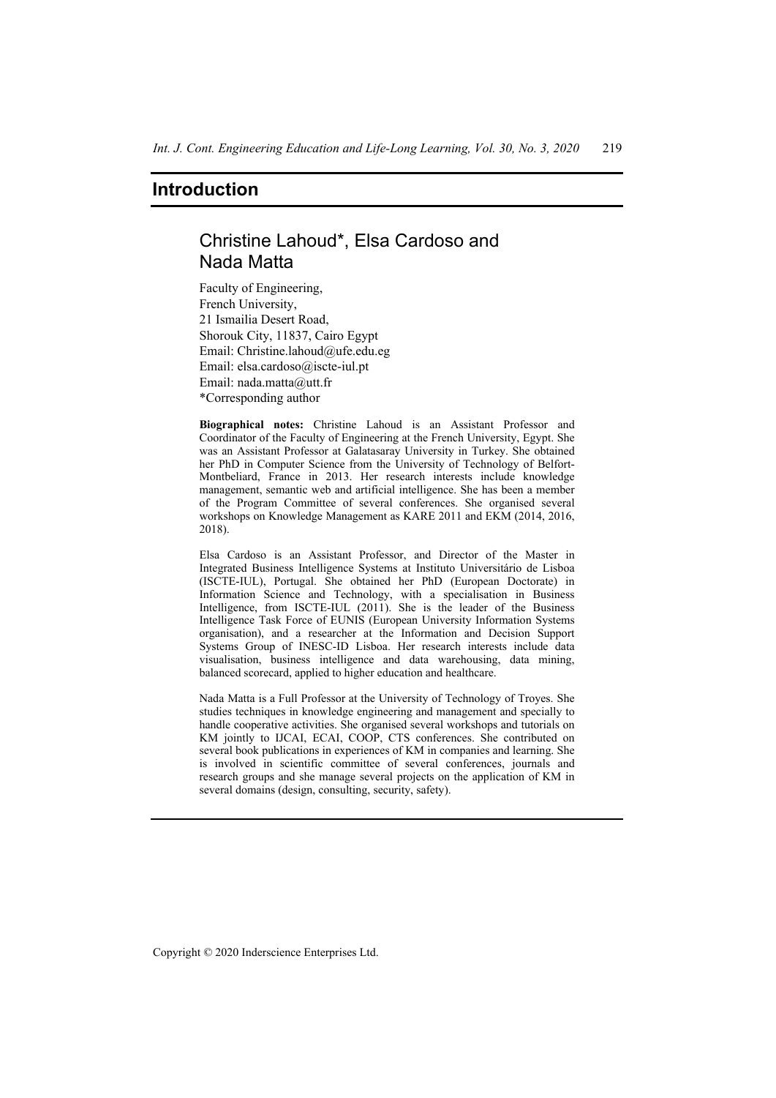# **Introduction**

# Christine Lahoud\*, Elsa Cardoso and Nada Matta

Faculty of Engineering, French University, 21 Ismailia Desert Road, Shorouk City, 11837, Cairo Egypt Email: Christine.lahoud@ufe.edu.eg Email: elsa.cardoso@iscte-iul.pt Email: nada.matta@utt.fr \*Corresponding author

**Biographical notes:** Christine Lahoud is an Assistant Professor and Coordinator of the Faculty of Engineering at the French University, Egypt. She was an Assistant Professor at Galatasaray University in Turkey. She obtained her PhD in Computer Science from the University of Technology of Belfort-Montbeliard, France in 2013. Her research interests include knowledge management, semantic web and artificial intelligence. She has been a member of the Program Committee of several conferences. She organised several workshops on Knowledge Management as KARE 2011 and EKM (2014, 2016, 2018).

Elsa Cardoso is an Assistant Professor, and Director of the Master in Integrated Business Intelligence Systems at Instituto Universitário de Lisboa (ISCTE-IUL), Portugal. She obtained her PhD (European Doctorate) in Information Science and Technology, with a specialisation in Business Intelligence, from ISCTE-IUL (2011). She is the leader of the Business Intelligence Task Force of EUNIS (European University Information Systems organisation), and a researcher at the Information and Decision Support Systems Group of INESC-ID Lisboa. Her research interests include data visualisation, business intelligence and data warehousing, data mining, balanced scorecard, applied to higher education and healthcare.

Nada Matta is a Full Professor at the University of Technology of Troyes. She studies techniques in knowledge engineering and management and specially to handle cooperative activities. She organised several workshops and tutorials on KM jointly to IJCAI, ECAI, COOP, CTS conferences. She contributed on several book publications in experiences of KM in companies and learning. She is involved in scientific committee of several conferences, journals and research groups and she manage several projects on the application of KM in several domains (design, consulting, security, safety).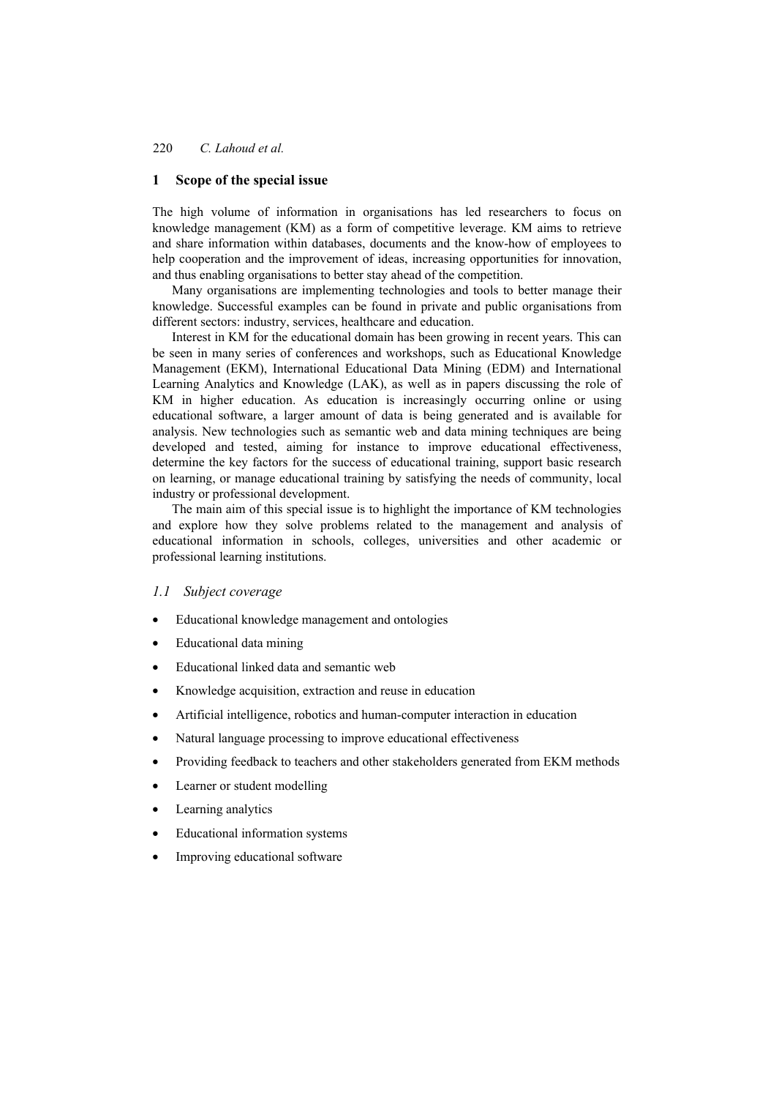#### **1 Scope of the special issue**

The high volume of information in organisations has led researchers to focus on knowledge management (KM) as a form of competitive leverage. KM aims to retrieve and share information within databases, documents and the know-how of employees to help cooperation and the improvement of ideas, increasing opportunities for innovation, and thus enabling organisations to better stay ahead of the competition.

Many organisations are implementing technologies and tools to better manage their knowledge. Successful examples can be found in private and public organisations from different sectors: industry, services, healthcare and education.

Interest in KM for the educational domain has been growing in recent years. This can be seen in many series of conferences and workshops, such as Educational Knowledge Management (EKM), International Educational Data Mining (EDM) and International Learning Analytics and Knowledge (LAK), as well as in papers discussing the role of KM in higher education. As education is increasingly occurring online or using educational software, a larger amount of data is being generated and is available for analysis. New technologies such as semantic web and data mining techniques are being developed and tested, aiming for instance to improve educational effectiveness, determine the key factors for the success of educational training, support basic research on learning, or manage educational training by satisfying the needs of community, local industry or professional development.

The main aim of this special issue is to highlight the importance of KM technologies and explore how they solve problems related to the management and analysis of educational information in schools, colleges, universities and other academic or professional learning institutions.

#### *1.1 Subject coverage*

- Educational knowledge management and ontologies
- Educational data mining
- Educational linked data and semantic web
- Knowledge acquisition, extraction and reuse in education
- Artificial intelligence, robotics and human-computer interaction in education
- Natural language processing to improve educational effectiveness
- Providing feedback to teachers and other stakeholders generated from EKM methods
- Learner or student modelling
- Learning analytics
- Educational information systems
- Improving educational software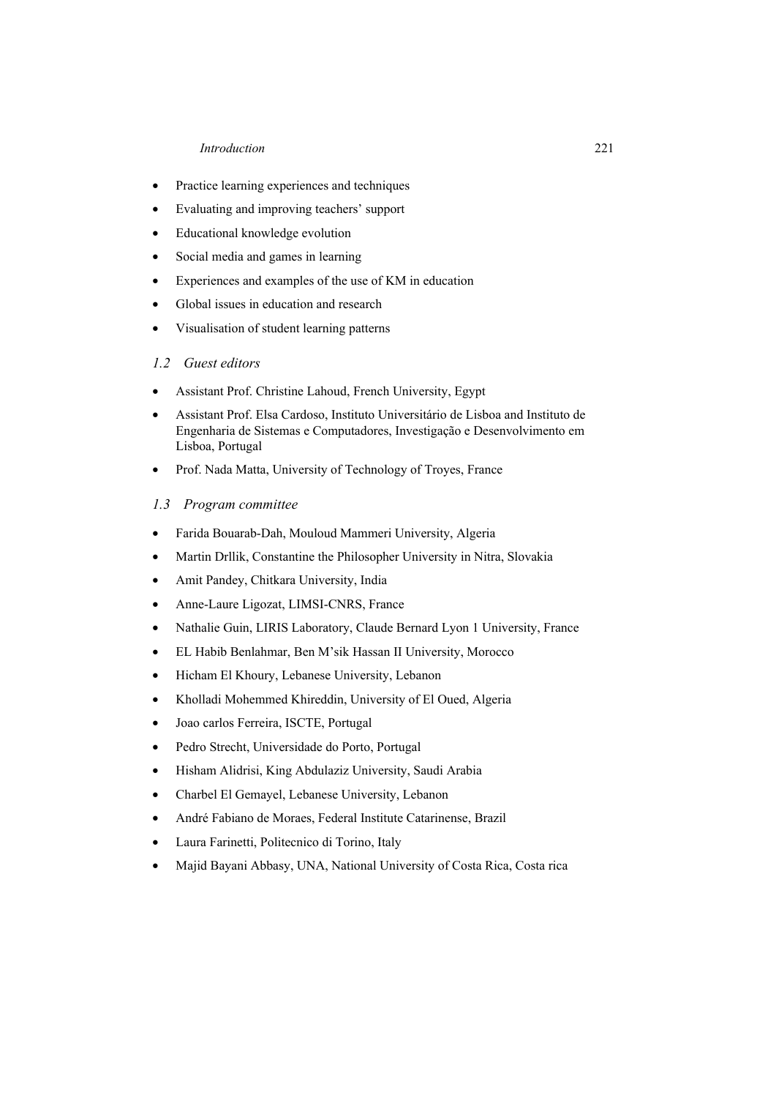#### *Introduction* 221

- Practice learning experiences and techniques
- Evaluating and improving teachers' support
- Educational knowledge evolution
- Social media and games in learning
- Experiences and examples of the use of KM in education
- Global issues in education and research
- Visualisation of student learning patterns

## *1.2 Guest editors*

- Assistant Prof. Christine Lahoud, French University, Egypt
- Assistant Prof. Elsa Cardoso, Instituto Universitário de Lisboa and Instituto de Engenharia de Sistemas e Computadores, Investigação e Desenvolvimento em Lisboa, Portugal
- Prof. Nada Matta, University of Technology of Troyes, France

## *1.3 Program committee*

- Farida Bouarab-Dah, Mouloud Mammeri University, Algeria
- Martin Drllik, Constantine the Philosopher University in Nitra, Slovakia
- Amit Pandey, Chitkara University, India
- Anne-Laure Ligozat, LIMSI-CNRS, France
- Nathalie Guin, LIRIS Laboratory, Claude Bernard Lyon 1 University, France
- EL Habib Benlahmar, Ben M'sik Hassan II University, Morocco
- Hicham El Khoury, Lebanese University, Lebanon
- Kholladi Mohemmed Khireddin, University of El Oued, Algeria
- Joao carlos Ferreira, ISCTE, Portugal
- Pedro Strecht, Universidade do Porto, Portugal
- Hisham Alidrisi, King Abdulaziz University, Saudi Arabia
- Charbel El Gemayel, Lebanese University, Lebanon
- André Fabiano de Moraes, Federal Institute Catarinense, Brazil
- Laura Farinetti, Politecnico di Torino, Italy
- Majid Bayani Abbasy, UNA, National University of Costa Rica, Costa rica